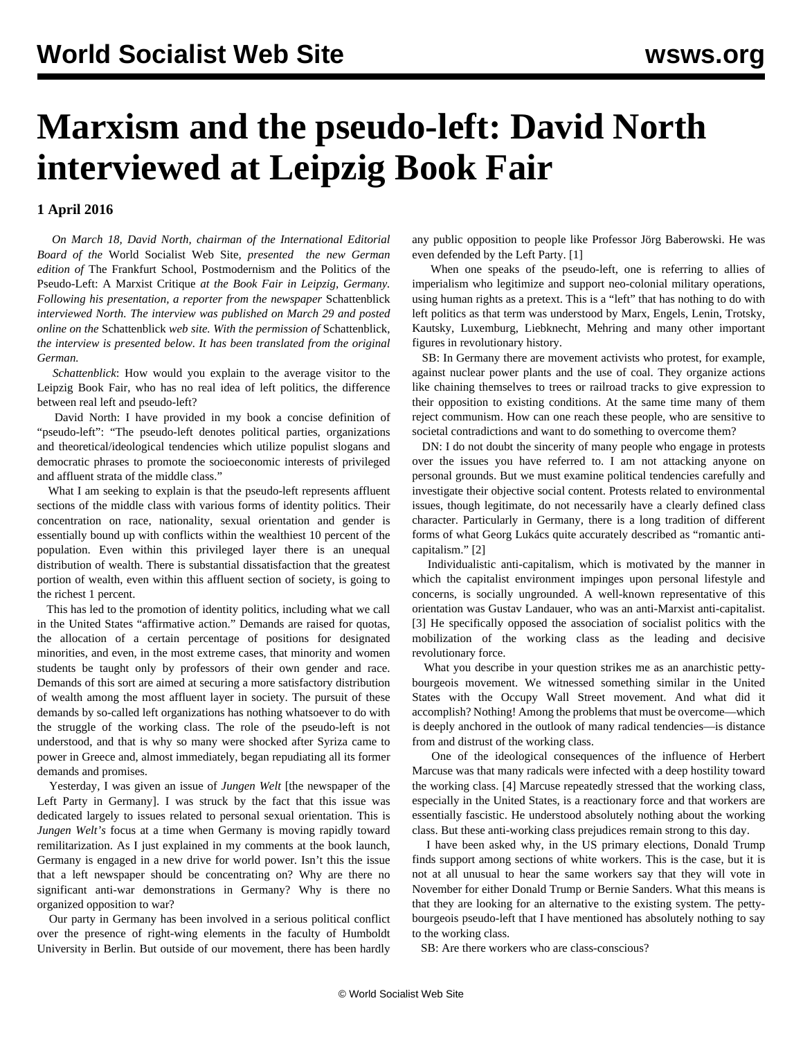## **Marxism and the pseudo-left: David North interviewed at Leipzig Book Fair**

## **1 April 2016**

 *On March 18, David North, chairman of the International Editorial Board of the* World Socialist Web Site*, presented the new German edition of* The Frankfurt School, Postmodernism and the Politics of the Pseudo-Left: A Marxist Critique *at the Book Fair in Leipzig, Germany. Following his presentation, a reporter from the newspaper* Schattenblick *interviewed North. The interview was published on March 29 and posted online on the* [Schattenblick](http://www.schattenblick.de/da/2016/03/sb_160329_schattenblick_druckausgabe.pdf) *web site. With the permission of* Schattenblick*, the interview is presented below. It has been translated from the original German.*

 *Schattenblick*: How would you explain to the average visitor to the Leipzig Book Fair, who has no real idea of left politics, the difference between real left and pseudo-left?

 David North: I have provided in my book a concise definition of "pseudo-left": "The pseudo-left denotes political parties, organizations and theoretical/ideological tendencies which utilize populist slogans and democratic phrases to promote the socioeconomic interests of privileged and affluent strata of the middle class."

 What I am seeking to explain is that the pseudo-left represents affluent sections of the middle class with various forms of identity politics. Their concentration on race, nationality, sexual orientation and gender is essentially bound up with conflicts within the wealthiest 10 percent of the population. Even within this privileged layer there is an unequal distribution of wealth. There is substantial dissatisfaction that the greatest portion of wealth, even within this affluent section of society, is going to the richest 1 percent.

 This has led to the promotion of identity politics, including what we call in the United States "affirmative action." Demands are raised for quotas, the allocation of a certain percentage of positions for designated minorities, and even, in the most extreme cases, that minority and women students be taught only by professors of their own gender and race. Demands of this sort are aimed at securing a more satisfactory distribution of wealth among the most affluent layer in society. The pursuit of these demands by so-called left organizations has nothing whatsoever to do with the struggle of the working class. The role of the pseudo-left is not understood, and that is why so many were shocked after Syriza came to power in Greece and, almost immediately, began repudiating all its former demands and promises.

 Yesterday, I was given an issue of *Jungen Welt* [the newspaper of the Left Party in Germany]. I was struck by the fact that this issue was dedicated largely to issues related to personal sexual orientation. This is *Jungen Welt's* focus at a time when Germany is moving rapidly toward remilitarization. As I just explained in my comments at the book launch, Germany is engaged in a new drive for world power. Isn't this the issue that a left newspaper should be concentrating on? Why are there no significant anti-war demonstrations in Germany? Why is there no organized opposition to war?

 Our party in Germany has been involved in a serious political conflict over the presence of right-wing elements in the faculty of Humboldt University in Berlin. But outside of our movement, there has been hardly any public opposition to people like Professor Jörg Baberowski. He was even defended by the Left Party. [1]

 When one speaks of the pseudo-left, one is referring to allies of imperialism who legitimize and support neo-colonial military operations, using human rights as a pretext. This is a "left" that has nothing to do with left politics as that term was understood by Marx, Engels, Lenin, Trotsky, Kautsky, Luxemburg, Liebknecht, Mehring and many other important figures in revolutionary history.

 SB: In Germany there are movement activists who protest, for example, against nuclear power plants and the use of coal. They organize actions like chaining themselves to trees or railroad tracks to give expression to their opposition to existing conditions. At the same time many of them reject communism. How can one reach these people, who are sensitive to societal contradictions and want to do something to overcome them?

 DN: I do not doubt the sincerity of many people who engage in protests over the issues you have referred to. I am not attacking anyone on personal grounds. But we must examine political tendencies carefully and investigate their objective social content. Protests related to environmental issues, though legitimate, do not necessarily have a clearly defined class character. Particularly in Germany, there is a long tradition of different forms of what Georg Lukács quite accurately described as "romantic anticapitalism." [2]

 Individualistic anti-capitalism, which is motivated by the manner in which the capitalist environment impinges upon personal lifestyle and concerns, is socially ungrounded. A well-known representative of this orientation was Gustav Landauer, who was an anti-Marxist anti-capitalist. [3] He specifically opposed the association of socialist politics with the mobilization of the working class as the leading and decisive revolutionary force.

 What you describe in your question strikes me as an anarchistic pettybourgeois movement. We witnessed something similar in the United States with the Occupy Wall Street movement. And what did it accomplish? Nothing! Among the problems that must be overcome—which is deeply anchored in the outlook of many radical tendencies—is distance from and distrust of the working class.

 One of the ideological consequences of the influence of Herbert Marcuse was that many radicals were infected with a deep hostility toward the working class. [4] Marcuse repeatedly stressed that the working class, especially in the United States, is a reactionary force and that workers are essentially fascistic. He understood absolutely nothing about the working class. But these anti-working class prejudices remain strong to this day.

 I have been asked why, in the US primary elections, Donald Trump finds support among sections of white workers. This is the case, but it is not at all unusual to hear the same workers say that they will vote in November for either Donald Trump or Bernie Sanders. What this means is that they are looking for an alternative to the existing system. The pettybourgeois pseudo-left that I have mentioned has absolutely nothing to say to the working class.

SB: Are there workers who are class-conscious?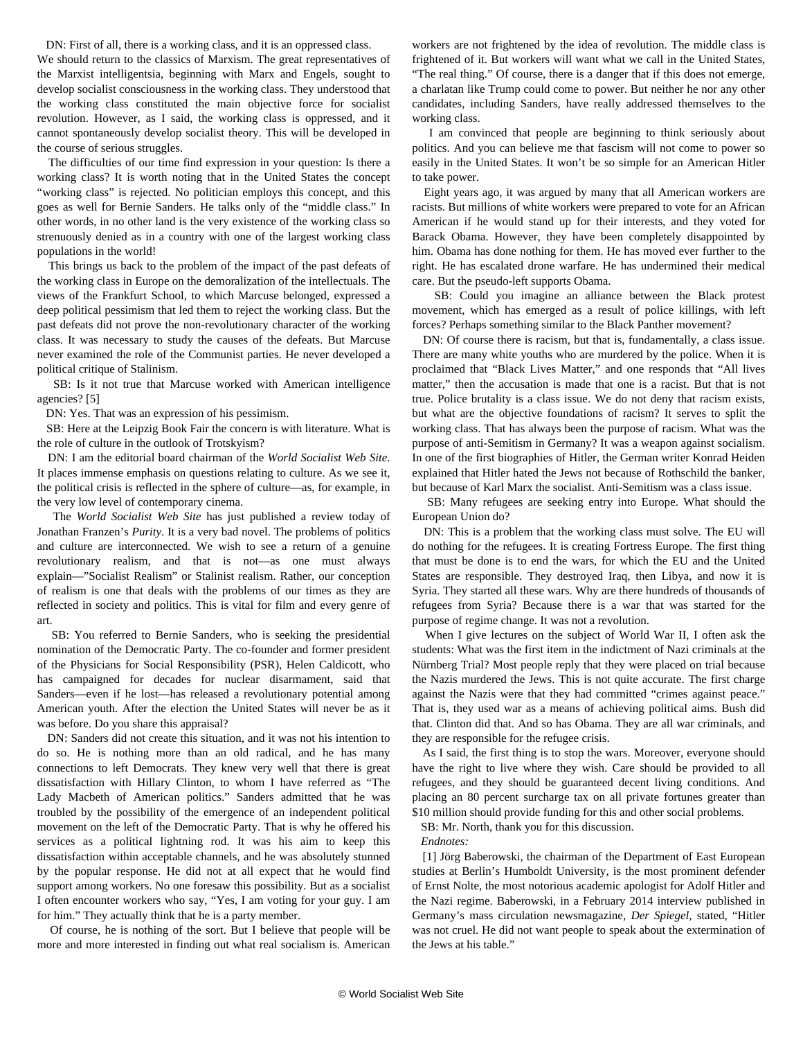DN: First of all, there is a working class, and it is an oppressed class.

We should return to the classics of Marxism. The great representatives of the Marxist intelligentsia, beginning with Marx and Engels, sought to develop socialist consciousness in the working class. They understood that the working class constituted the main objective force for socialist revolution. However, as I said, the working class is oppressed, and it cannot spontaneously develop socialist theory. This will be developed in the course of serious struggles.

 The difficulties of our time find expression in your question: Is there a working class? It is worth noting that in the United States the concept "working class" is rejected. No politician employs this concept, and this goes as well for Bernie Sanders. He talks only of the "middle class." In other words, in no other land is the very existence of the working class so strenuously denied as in a country with one of the largest working class populations in the world!

 This brings us back to the problem of the impact of the past defeats of the working class in Europe on the demoralization of the intellectuals. The views of the Frankfurt School, to which Marcuse belonged, expressed a deep political pessimism that led them to reject the working class. But the past defeats did not prove the non-revolutionary character of the working class. It was necessary to study the causes of the defeats. But Marcuse never examined the role of the Communist parties. He never developed a political critique of Stalinism.

 SB: Is it not true that Marcuse worked with American intelligence agencies? [5]

DN: Yes. That was an expression of his pessimism.

 SB: Here at the Leipzig Book Fair the concern is with literature. What is the role of culture in the outlook of Trotskyism?

 DN: I am the editorial board chairman of the *World Socialist Web Site*. It places immense emphasis on questions relating to culture. As we see it, the political crisis is reflected in the sphere of culture—as, for example, in the very low level of contemporary cinema.

 The *World Socialist Web Site* has just published a review today of Jonathan Franzen's *Purity*. It is a very bad novel. The problems of politics and culture are interconnected. We wish to see a return of a genuine revolutionary realism, and that is not—as one must always explain—"Socialist Realism" or Stalinist realism. Rather, our conception of realism is one that deals with the problems of our times as they are reflected in society and politics. This is vital for film and every genre of art.

 SB: You referred to Bernie Sanders, who is seeking the presidential nomination of the Democratic Party. The co-founder and former president of the Physicians for Social Responsibility (PSR), Helen Caldicott, who has campaigned for decades for nuclear disarmament, said that Sanders—even if he lost—has released a revolutionary potential among American youth. After the election the United States will never be as it was before. Do you share this appraisal?

 DN: Sanders did not create this situation, and it was not his intention to do so. He is nothing more than an old radical, and he has many connections to left Democrats. They knew very well that there is great dissatisfaction with Hillary Clinton, to whom I have referred as "The Lady Macbeth of American politics." Sanders admitted that he was troubled by the possibility of the emergence of an independent political movement on the left of the Democratic Party. That is why he offered his services as a political lightning rod. It was his aim to keep this dissatisfaction within acceptable channels, and he was absolutely stunned by the popular response. He did not at all expect that he would find support among workers. No one foresaw this possibility. But as a socialist I often encounter workers who say, "Yes, I am voting for your guy. I am for him." They actually think that he is a party member.

 Of course, he is nothing of the sort. But I believe that people will be more and more interested in finding out what real socialism is. American

workers are not frightened by the idea of revolution. The middle class is frightened of it. But workers will want what we call in the United States, "The real thing." Of course, there is a danger that if this does not emerge, a charlatan like Trump could come to power. But neither he nor any other candidates, including Sanders, have really addressed themselves to the working class.

 I am convinced that people are beginning to think seriously about politics. And you can believe me that fascism will not come to power so easily in the United States. It won't be so simple for an American Hitler to take power.

 Eight years ago, it was argued by many that all American workers are racists. But millions of white workers were prepared to vote for an African American if he would stand up for their interests, and they voted for Barack Obama. However, they have been completely disappointed by him. Obama has done nothing for them. He has moved ever further to the right. He has escalated drone warfare. He has undermined their medical care. But the pseudo-left supports Obama.

 SB: Could you imagine an alliance between the Black protest movement, which has emerged as a result of police killings, with left forces? Perhaps something similar to the Black Panther movement?

 DN: Of course there is racism, but that is, fundamentally, a class issue. There are many white youths who are murdered by the police. When it is proclaimed that "Black Lives Matter," and one responds that "All lives matter," then the accusation is made that one is a racist. But that is not true. Police brutality is a class issue. We do not deny that racism exists, but what are the objective foundations of racism? It serves to split the working class. That has always been the purpose of racism. What was the purpose of anti-Semitism in Germany? It was a weapon against socialism. In one of the first biographies of Hitler, the German writer Konrad Heiden explained that Hitler hated the Jews not because of Rothschild the banker, but because of Karl Marx the socialist. Anti-Semitism was a class issue.

 SB: Many refugees are seeking entry into Europe. What should the European Union do?

 DN: This is a problem that the working class must solve. The EU will do nothing for the refugees. It is creating Fortress Europe. The first thing that must be done is to end the wars, for which the EU and the United States are responsible. They destroyed Iraq, then Libya, and now it is Syria. They started all these wars. Why are there hundreds of thousands of refugees from Syria? Because there is a war that was started for the purpose of regime change. It was not a revolution.

 When I give lectures on the subject of World War II, I often ask the students: What was the first item in the indictment of Nazi criminals at the Nürnberg Trial? Most people reply that they were placed on trial because the Nazis murdered the Jews. This is not quite accurate. The first charge against the Nazis were that they had committed "crimes against peace." That is, they used war as a means of achieving political aims. Bush did that. Clinton did that. And so has Obama. They are all war criminals, and they are responsible for the refugee crisis.

 As I said, the first thing is to stop the wars. Moreover, everyone should have the right to live where they wish. Care should be provided to all refugees, and they should be guaranteed decent living conditions. And placing an 80 percent surcharge tax on all private fortunes greater than \$10 million should provide funding for this and other social problems.

SB: Mr. North, thank you for this discussion.

*Endnotes:*

 [1] Jörg Baberowski, the chairman of the Department of East European studies at Berlin's Humboldt University, is the most prominent defender of Ernst Nolte, the most notorious academic apologist for Adolf Hitler and the Nazi regime. Baberowski, in a February 2014 interview published in Germany's mass circulation newsmagazine, *Der Spiegel*, stated, "Hitler was not cruel. He did not want people to speak about the extermination of the Jews at his table."